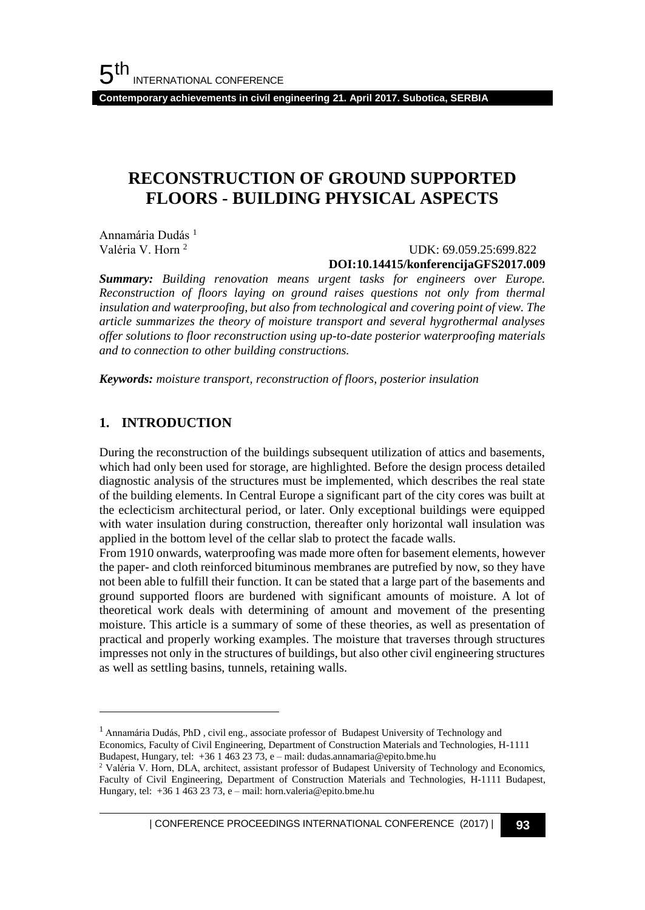**Contemporary achievements in civil engineering 21. April 2017. Subotica, SERBIA**

# **RECONSTRUCTION OF GROUND SUPPORTED FLOORS - BUILDING PHYSICAL ASPECTS**

Annamária Dudás<sup>1</sup> Valéria V. Horn <sup>2</sup>

 UDK: 69.059.25:699.822 **DOI:10.14415/konferencijaGFS2017.009**

*Summary: Building renovation means urgent tasks for engineers over Europe. Reconstruction of floors laying on ground raises questions not only from thermal insulation and waterproofing, but also from technological and covering point of view. The article summarizes the theory of moisture transport and several hygrothermal analyses offer solutions to floor reconstruction using up-to-date posterior waterproofing materials and to connection to other building constructions.*

*Keywords: moisture transport, reconstruction of floors, posterior insulation*

## **1. INTRODUCTION**

l

During the reconstruction of the buildings subsequent utilization of attics and basements, which had only been used for storage, are highlighted. Before the design process detailed diagnostic analysis of the structures must be implemented, which describes the real state of the building elements. In Central Europe a significant part of the city cores was built at the eclecticism architectural period, or later. Only exceptional buildings were equipped with water insulation during construction, thereafter only horizontal wall insulation was applied in the bottom level of the cellar slab to protect the facade walls.

From 1910 onwards, waterproofing was made more often for basement elements, however the paper- and cloth reinforced bituminous membranes are putrefied by now, so they have not been able to fulfill their function. It can be stated that a large part of the basements and ground supported floors are burdened with significant amounts of moisture. A lot of theoretical work deals with determining of amount and movement of the presenting moisture. This article is a summary of some of these theories, as well as presentation of practical and properly working examples. The moisture that traverses through structures impresses not only in the structures of buildings, but also other civil engineering structures as well as settling basins, tunnels, retaining walls.

| CONFERENCE PROCEEDINGS INTERNATIONAL CONFERENCE (2017) <sup>|</sup>**93**

<sup>&</sup>lt;sup>1</sup> Annamária Dudás, PhD, civil eng., associate professor of Budapest University of Technology and Economics, Faculty of Civil Engineering, Department of Construction Materials and Technologies, H-1111 Budapest, Hungary, tel: +36 1 463 23 73, e – mail: dudas.annamaria@epito.bme.hu

<sup>2</sup> Valéria V. Horn, DLA, architect, assistant professor of Budapest University of Technology and Economics, Faculty of Civil Engineering, Department of Construction Materials and Technologies, H-1111 Budapest, Hungary, tel: +36 1 463 23 73, e – mail: horn.valeria@epito.bme.hu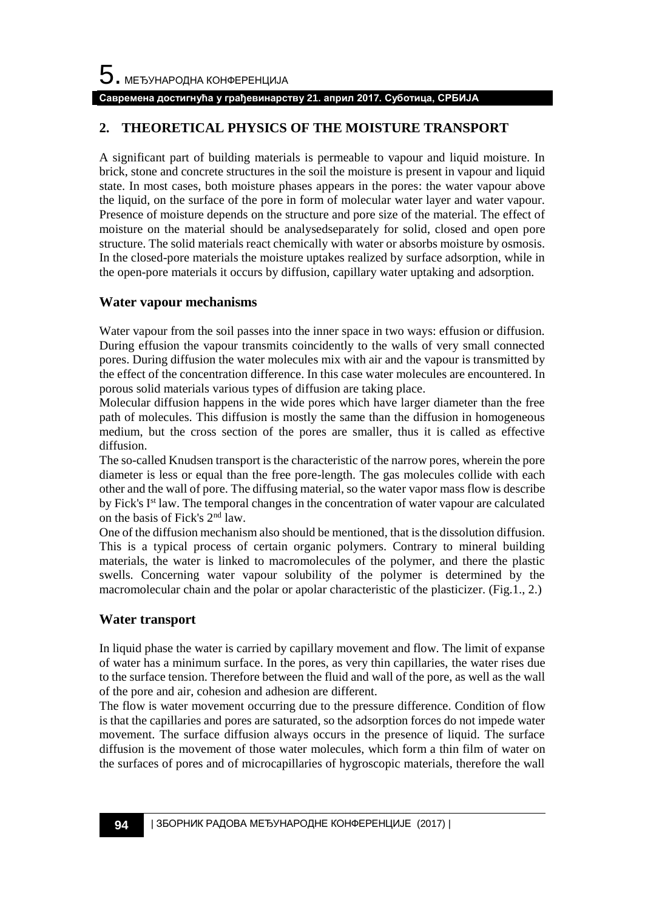## **Савремена достигнућа у грађевинарству 21. април 2017. Суботица, СРБИЈА**

## **2. THEORETICAL PHYSICS OF THE MOISTURE TRANSPORT**

A significant part of building materials is permeable to vapour and liquid moisture. In brick, stone and concrete structures in the soil the moisture is present in vapour and liquid state. In most cases, both moisture phases appears in the pores: the water vapour above the liquid, on the surface of the pore in form of molecular water layer and water vapour. Presence of moisture depends on the structure and pore size of the material. The effect of moisture on the material should be analysedseparately for solid, closed and open pore structure. The solid materials react chemically with water or absorbs moisture by osmosis. In the closed-pore materials the moisture uptakes realized by surface adsorption, while in the open-pore materials it occurs by diffusion, capillary water uptaking and adsorption.

## **Water vapour mechanisms**

Water vapour from the soil passes into the inner space in two ways: effusion or diffusion. During effusion the vapour transmits coincidently to the walls of very small connected pores. During diffusion the water molecules mix with air and the vapour is transmitted by the effect of the concentration difference. In this case water molecules are encountered. In porous solid materials various types of diffusion are taking place.

Molecular diffusion happens in the wide pores which have larger diameter than the free path of molecules. This diffusion is mostly the same than the diffusion in homogeneous medium, but the cross section of the pores are smaller, thus it is called as effective diffusion.

The so-called Knudsen transport is the characteristic of the narrow pores, wherein the pore diameter is less or equal than the free pore-length. The gas molecules collide with each other and the wall of pore. The diffusing material, so the water vapor mass flow is describe by Fick's I<sup>st</sup> law. The temporal changes in the concentration of water vapour are calculated on the basis of Fick's 2nd law.

One of the diffusion mechanism also should be mentioned, that is the dissolution diffusion. This is a typical process of certain organic polymers. Contrary to mineral building materials, the water is linked to macromolecules of the polymer, and there the plastic swells. Concerning water vapour solubility of the polymer is determined by the macromolecular chain and the polar or apolar characteristic of the plasticizer. (Fig.1., 2.)

## **Water transport**

In liquid phase the water is carried by capillary movement and flow. The limit of expanse of water has a minimum surface. In the pores, as very thin capillaries, the water rises due to the surface tension. Therefore between the fluid and wall of the pore, as well as the wall of the pore and air, cohesion and adhesion are different.

The flow is water movement occurring due to the pressure difference. Condition of flow is that the capillaries and pores are saturated, so the adsorption forces do not impede water movement. The surface diffusion always occurs in the presence of liquid. The surface diffusion is the movement of those water molecules, which form a thin film of water on the surfaces of pores and of microcapillaries of hygroscopic materials, therefore the wall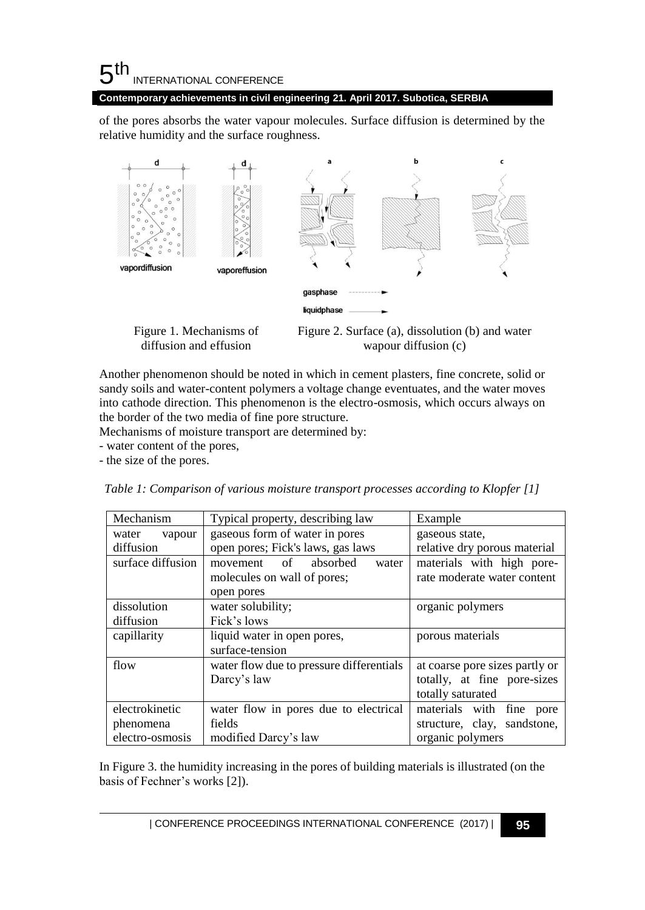## $5<sup>th</sup>$ INTERNATIONAL CONFERENCE

**Contemporary achievements in civil engineering 21. April 2017. Subotica, SERBIA**

of the pores absorbs the water vapour molecules. Surface diffusion is determined by the relative humidity and the surface roughness.



Figure 1. Mechanisms of diffusion and effusion

Figure 2. Surface (a), dissolution (b) and water wapour diffusion (c)

Another phenomenon should be noted in which in cement plasters, fine concrete, solid or sandy soils and water-content polymers a voltage change eventuates, and the water moves into cathode direction. This phenomenon is the electro-osmosis, which occurs always on the border of the two media of fine pore structure.

Mechanisms of moisture transport are determined by:

- water content of the pores,

- the size of the pores.

| Mechanism         | Typical property, describing law         | Example                        |
|-------------------|------------------------------------------|--------------------------------|
| water<br>vapour   | gaseous form of water in pores           | gaseous state,                 |
| diffusion         | open pores; Fick's laws, gas laws        | relative dry porous material   |
| surface diffusion | movement of absorbed<br>water            | materials with high pore-      |
|                   | molecules on wall of pores;              | rate moderate water content    |
|                   | open pores                               |                                |
| dissolution       | water solubility;                        | organic polymers               |
| diffusion         | Fick's lows                              |                                |
| capillarity       | liquid water in open pores,              | porous materials               |
|                   | surface-tension                          |                                |
| flow              | water flow due to pressure differentials | at coarse pore sizes partly or |
|                   | Darcy's law                              | totally, at fine pore-sizes    |
|                   |                                          | totally saturated              |
| electrokinetic    | water flow in pores due to electrical    | materials with fine pore       |
| phenomena         | fields                                   | structure, clay, sandstone,    |
| electro-osmosis   | modified Darcy's law                     | organic polymers               |

*Table 1: Comparison of various moisture transport processes according to Klopfer [1]*

In Figure 3. the humidity increasing in the pores of building materials is illustrated (on the basis of Fechner's works [2]).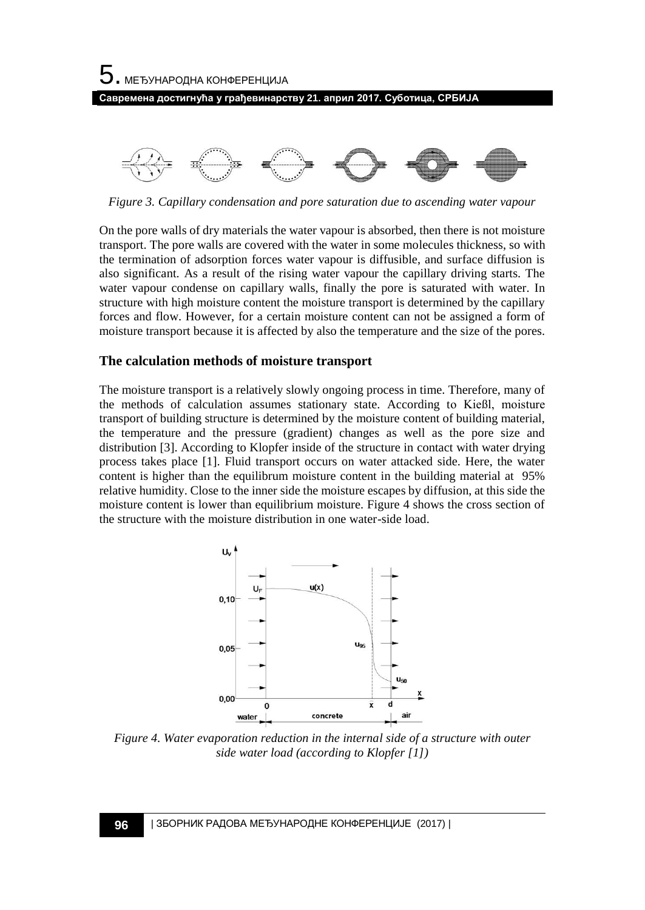



*Figure 3. Capillary condensation and pore saturation due to ascending water vapour*

On the pore walls of dry materials the water vapour is absorbed, then there is not moisture transport. The pore walls are covered with the water in some molecules thickness, so with the termination of adsorption forces water vapour is diffusible, and surface diffusion is also significant. As a result of the rising water vapour the capillary driving starts. The water vapour condense on capillary walls, finally the pore is saturated with water. In structure with high moisture content the moisture transport is determined by the capillary forces and flow. However, for a certain moisture content can not be assigned a form of moisture transport because it is affected by also the temperature and the size of the pores.

### **The calculation methods of moisture transport**

The moisture transport is a relatively slowly ongoing process in time. Therefore, many of the methods of calculation assumes stationary state. According to Kießl, moisture transport of building structure is determined by the moisture content of building material, the temperature and the pressure (gradient) changes as well as the pore size and distribution [3]. According to Klopfer inside of the structure in contact with water drying process takes place [1]. Fluid transport occurs on water attacked side. Here, the water content is higher than the equilibrum moisture content in the building material at 95% relative humidity. Close to the inner side the moisture escapes by diffusion, at this side the moisture content is lower than equilibrium moisture. Figure 4 shows the cross section of the structure with the moisture distribution in one water-side load.



*Figure 4. Water evaporation reduction in the internal side of a structure with outer side water load (according to Klopfer [1])*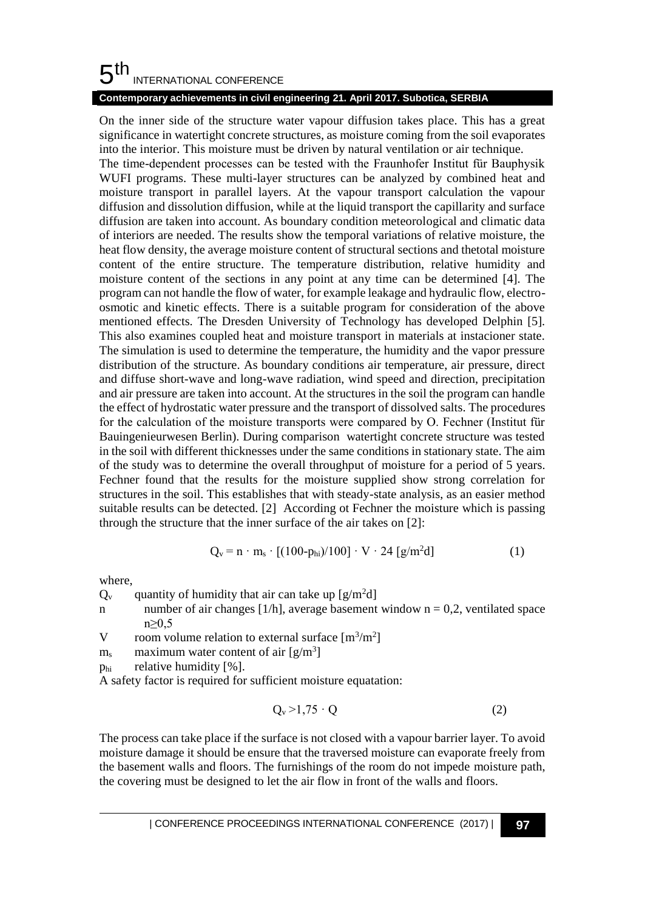#### 5 th INTERNATIONAL CONFERENCE

## **Contemporary achievements in civil engineering 21. April 2017. Subotica, SERBIA**

On the inner side of the structure water vapour diffusion takes place. This has a great significance in watertight concrete structures, as moisture coming from the soil evaporates into the interior. This moisture must be driven by natural ventilation or air technique.

The time-dependent processes can be tested with the Fraunhofer Institut für Bauphysik WUFI programs. These multi-layer structures can be analyzed by combined heat and moisture transport in parallel layers. At the vapour transport calculation the vapour diffusion and dissolution diffusion, while at the liquid transport the capillarity and surface diffusion are taken into account. As boundary condition meteorological and climatic data of interiors are needed. The results show the temporal variations of relative moisture, the heat flow density, the average moisture content of structural sections and thetotal moisture content of the entire structure. The temperature distribution, relative humidity and moisture content of the sections in any point at any time can be determined [4]. The program can not handle the flow of water, for example leakage and hydraulic flow, electroosmotic and kinetic effects. There is a suitable program for consideration of the above mentioned effects. The Dresden University of Technology has developed Delphin [5]. This also examines coupled heat and moisture transport in materials at instacioner state. The simulation is used to determine the temperature, the humidity and the vapor pressure distribution of the structure. As boundary conditions air temperature, air pressure, direct and diffuse short-wave and long-wave radiation, wind speed and direction, precipitation and air pressure are taken into account. At the structures in the soil the program can handle the effect of hydrostatic water pressure and the transport of dissolved salts. The procedures for the calculation of the moisture transports were compared by O. Fechner (Institut für Bauingenieurwesen Berlin). During comparison watertight concrete structure was tested in the soil with different thicknesses under the same conditions in stationary state. The aim of the study was to determine the overall throughput of moisture for a period of 5 years. Fechner found that the results for the moisture supplied show strong correlation for structures in the soil. This establishes that with steady-state analysis, as an easier method suitable results can be detected. [2] According ot Fechner the moisture which is passing through the structure that the inner surface of the air takes on [2]:

$$
Q_v = n \cdot m_s \cdot [(100 - p_{hi})/100] \cdot V \cdot 24 [g/m^2 d]
$$
 (1)

where,

 $Q_v$  quantity of humidity that air can take up [g/m<sup>2</sup>d]

n number of air changes  $[1/h]$ , average basement window n = 0,2, ventilated space n≥0,5

V room volume relation to external surface  $[m^3/m^2]$ 

 $m_s$  maximum water content of air  $[g/m^3]$ 

 $p_{hi}$  relative humidity [%].

A safety factor is required for sufficient moisture equatation:

$$
Q_v > 1.75 \cdot Q \tag{2}
$$

The process can take place if the surface is not closed with a vapour barrier layer. To avoid moisture damage it should be ensure that the traversed moisture can evaporate freely from the basement walls and floors. The furnishings of the room do not impede moisture path, the covering must be designed to let the air flow in front of the walls and floors.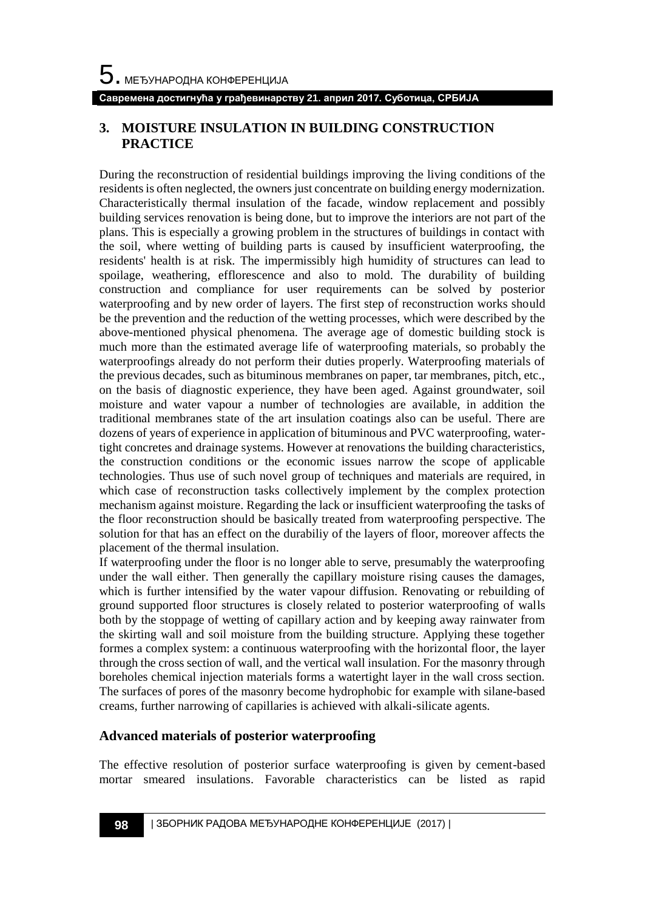## **3. MOISTURE INSULATION IN BUILDING CONSTRUCTION PRACTICE**

During the reconstruction of residential buildings improving the living conditions of the residents is often neglected, the owners just concentrate on building energy modernization. Characteristically thermal insulation of the facade, window replacement and possibly building services renovation is being done, but to improve the interiors are not part of the plans. This is especially a growing problem in the structures of buildings in contact with the soil, where wetting of building parts is caused by insufficient waterproofing, the residents' health is at risk. The impermissibly high humidity of structures can lead to spoilage, weathering, efflorescence and also to mold. The durability of building construction and compliance for user requirements can be solved by posterior waterproofing and by new order of layers. The first step of reconstruction works should be the prevention and the reduction of the wetting processes, which were described by the above-mentioned physical phenomena. The average age of domestic building stock is much more than the estimated average life of waterproofing materials, so probably the waterproofings already do not perform their duties properly. Waterproofing materials of the previous decades, such as bituminous membranes on paper, tar membranes, pitch, etc., on the basis of diagnostic experience, they have been aged. Against groundwater, soil moisture and water vapour a number of technologies are available, in addition the traditional membranes state of the art insulation coatings also can be useful. There are dozens of years of experience in application of bituminous and PVC waterproofing, watertight concretes and drainage systems. However at renovations the building characteristics, the construction conditions or the economic issues narrow the scope of applicable technologies. Thus use of such novel group of techniques and materials are required, in which case of reconstruction tasks collectively implement by the complex protection mechanism against moisture. Regarding the lack or insufficient waterproofing the tasks of the floor reconstruction should be basically treated from waterproofing perspective. The solution for that has an effect on the durabiliy of the layers of floor, moreover affects the placement of the thermal insulation.

If waterproofing under the floor is no longer able to serve, presumably the waterproofing under the wall either. Then generally the capillary moisture rising causes the damages, which is further intensified by the water vapour diffusion. Renovating or rebuilding of ground supported floor structures is closely related to posterior waterproofing of walls both by the stoppage of wetting of capillary action and by keeping away rainwater from the skirting wall and soil moisture from the building structure. Applying these together formes a complex system: a continuous waterproofing with the horizontal floor, the layer through the cross section of wall, and the vertical wall insulation. For the masonry through boreholes chemical injection materials forms a watertight layer in the wall cross section. The surfaces of pores of the masonry become hydrophobic for example with silane-based creams, further narrowing of capillaries is achieved with alkali-silicate agents.

## **Advanced materials of posterior waterproofing**

The effective resolution of posterior surface waterproofing is given by cement-based mortar smeared insulations. Favorable characteristics can be listed as rapid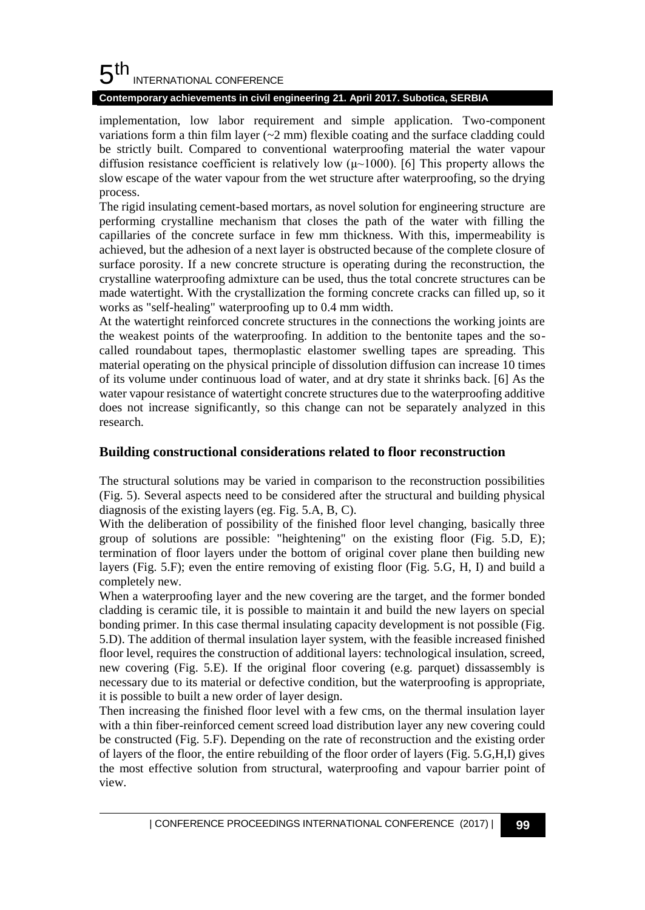#### 5 th INTERNATIONAL CONFERENCE

## **Contemporary achievements in civil engineering 21. April 2017. Subotica, SERBIA**

implementation, low labor requirement and simple application. Two-component variations form a thin film layer  $(\sim 2 \text{ mm})$  flexible coating and the surface cladding could be strictly built. Compared to conventional waterproofing material the water vapour diffusion resistance coefficient is relatively low  $(\mu \sim 1000)$ . [6] This property allows the slow escape of the water vapour from the wet structure after waterproofing, so the drying process.

The rigid insulating cement-based mortars, as novel solution for engineering structure are performing crystalline mechanism that closes the path of the water with filling the capillaries of the concrete surface in few mm thickness. With this, impermeability is achieved, but the adhesion of a next layer is obstructed because of the complete closure of surface porosity. If a new concrete structure is operating during the reconstruction, the crystalline waterproofing admixture can be used, thus the total concrete structures can be made watertight. With the crystallization the forming concrete cracks can filled up, so it works as "self-healing" waterproofing up to 0.4 mm width.

At the watertight reinforced concrete structures in the connections the working joints are the weakest points of the waterproofing. In addition to the bentonite tapes and the socalled roundabout tapes, thermoplastic elastomer swelling tapes are spreading. This material operating on the physical principle of dissolution diffusion can increase 10 times of its volume under continuous load of water, and at dry state it shrinks back. [6] As the water vapour resistance of watertight concrete structures due to the waterproofing additive does not increase significantly, so this change can not be separately analyzed in this research.

## **Building constructional considerations related to floor reconstruction**

The structural solutions may be varied in comparison to the reconstruction possibilities (Fig. 5). Several aspects need to be considered after the structural and building physical diagnosis of the existing layers (eg. Fig. 5.A, B, C).

With the deliberation of possibility of the finished floor level changing, basically three group of solutions are possible: "heightening" on the existing floor (Fig. 5.D, E); termination of floor layers under the bottom of original cover plane then building new layers (Fig. 5.F); even the entire removing of existing floor (Fig. 5.G, H, I) and build a completely new.

When a waterproofing layer and the new covering are the target, and the former bonded cladding is ceramic tile, it is possible to maintain it and build the new layers on special bonding primer. In this case thermal insulating capacity development is not possible (Fig. 5.D). The addition of thermal insulation layer system, with the feasible increased finished floor level, requires the construction of additional layers: technological insulation, screed, new covering (Fig. 5.E). If the original floor covering (e.g. parquet) dissassembly is necessary due to its material or defective condition, but the waterproofing is appropriate, it is possible to built a new order of layer design.

Then increasing the finished floor level with a few cms, on the thermal insulation layer with a thin fiber-reinforced cement screed load distribution layer any new covering could be constructed (Fig. 5.F). Depending on the rate of reconstruction and the existing order of layers of the floor, the entire rebuilding of the floor order of layers (Fig. 5.G,H,I) gives the most effective solution from structural, waterproofing and vapour barrier point of view.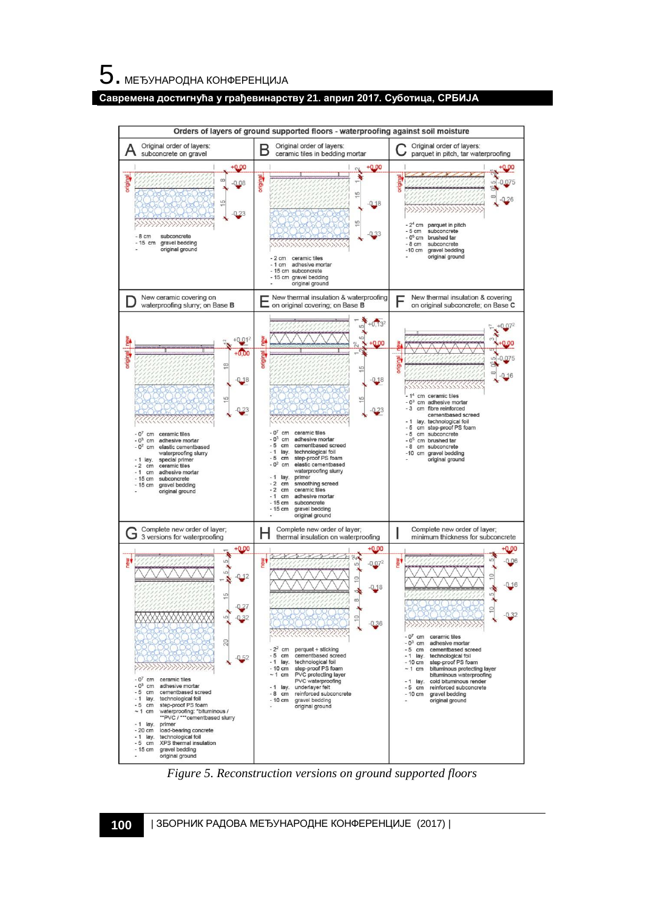**Савремена достигнућа у грађевинарству 21. април 2017. Суботица, СРБИЈА**



*Figure 5. Reconstruction versions on ground supported floors*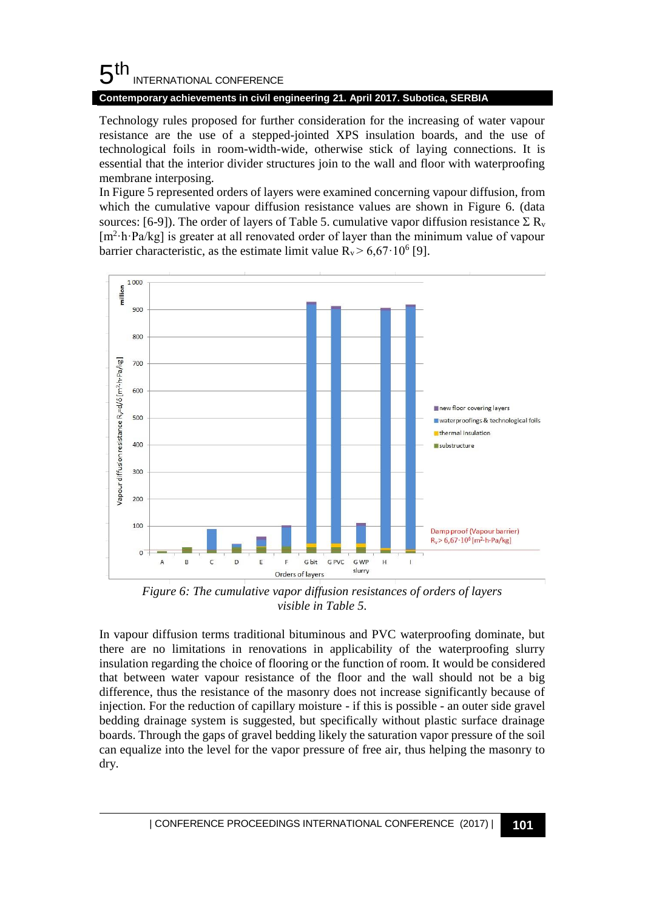#### 5 th INTERNATIONAL CONFERENCE

**Contemporary achievements in civil engineering 21. April 2017. Subotica, SERBIA**

Technology rules proposed for further consideration for the increasing of water vapour resistance are the use of a stepped-jointed XPS insulation boards, and the use of technological foils in room-width-wide, otherwise stick of laying connections. It is essential that the interior divider structures join to the wall and floor with waterproofing membrane interposing.

In Figure 5 represented orders of layers were examined concerning vapour diffusion, from which the cumulative vapour diffusion resistance values are shown in Figure 6. (data sources: [6-9]). The order of layers of Table 5. cumulative vapor diffusion resistance  $\Sigma \mathbf{R}_{v}$ [m<sup>2</sup>·h·Pa/kg] is greater at all renovated order of layer than the minimum value of vapour barrier characteristic, as the estimate limit value  $R_v > 6.67 \cdot 10^6$  [9].



*Figure 6: The cumulative vapor diffusion resistances of orders of layers visible in Table 5.*

In vapour diffusion terms traditional bituminous and PVC waterproofing dominate, but there are no limitations in renovations in applicability of the waterproofing slurry insulation regarding the choice of flooring or the function of room. It would be considered that between water vapour resistance of the floor and the wall should not be a big difference, thus the resistance of the masonry does not increase significantly because of injection. For the reduction of capillary moisture - if this is possible - an outer side gravel bedding drainage system is suggested, but specifically without plastic surface drainage boards. Through the gaps of gravel bedding likely the saturation vapor pressure of the soil can equalize into the level for the vapor pressure of free air, thus helping the masonry to dry.